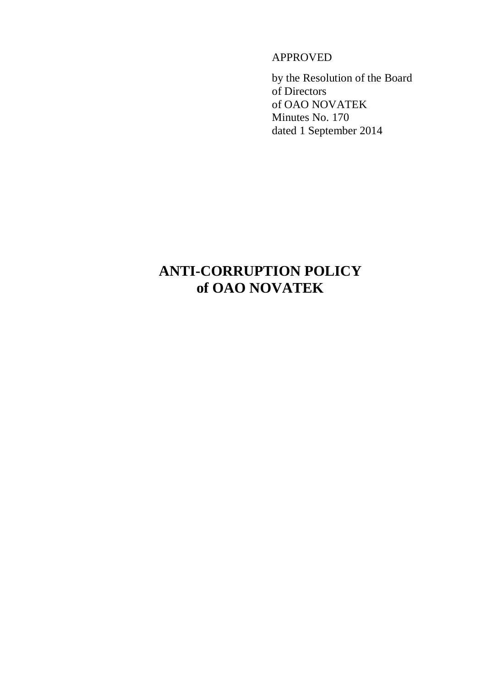APPROVED

by the Resolution of the Board of Directors of OAO NOVATEK Minutes No. 170 dated 1 September 2014

# **ANTI-CORRUPTION POLICY of OAO NOVATEK**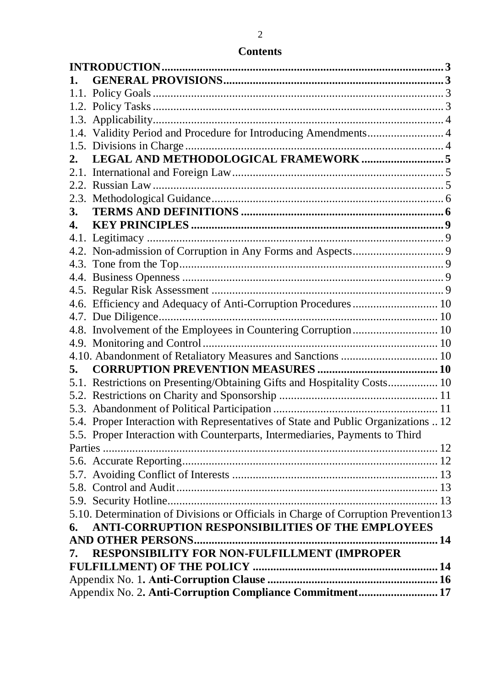|    | 1.4. Validity Period and Procedure for Introducing Amendments 4                     |  |
|----|-------------------------------------------------------------------------------------|--|
|    |                                                                                     |  |
|    |                                                                                     |  |
|    |                                                                                     |  |
|    |                                                                                     |  |
|    |                                                                                     |  |
| 3. |                                                                                     |  |
| 4. |                                                                                     |  |
|    |                                                                                     |  |
|    |                                                                                     |  |
|    |                                                                                     |  |
|    |                                                                                     |  |
|    |                                                                                     |  |
|    | 4.6. Efficiency and Adequacy of Anti-Corruption Procedures  10                      |  |
|    |                                                                                     |  |
|    | 4.8. Involvement of the Employees in Countering Corruption 10                       |  |
|    |                                                                                     |  |
|    | 4.10. Abandonment of Retaliatory Measures and Sanctions  10                         |  |
| 5. |                                                                                     |  |
|    | 5.1. Restrictions on Presenting/Obtaining Gifts and Hospitality Costs 10            |  |
|    |                                                                                     |  |
|    |                                                                                     |  |
|    | 5.4. Proper Interaction with Representatives of State and Public Organizations  12  |  |
|    | 5.5. Proper Interaction with Counterparts, Intermediaries, Payments to Third        |  |
|    |                                                                                     |  |
|    |                                                                                     |  |
|    |                                                                                     |  |
|    |                                                                                     |  |
|    |                                                                                     |  |
|    | 5.10. Determination of Divisions or Officials in Charge of Corruption Prevention 13 |  |
| 6. | ANTI-CORRUPTION RESPONSIBILITIES OF THE EMPLOYEES                                   |  |
|    | <b>AND OTHER PERSONS</b>                                                            |  |
| 7. | RESPONSIBILITY FOR NON-FULFILLMENT (IMPROPER                                        |  |
|    |                                                                                     |  |
|    |                                                                                     |  |
|    | Appendix No. 2. Anti-Corruption Compliance Commitment 17                            |  |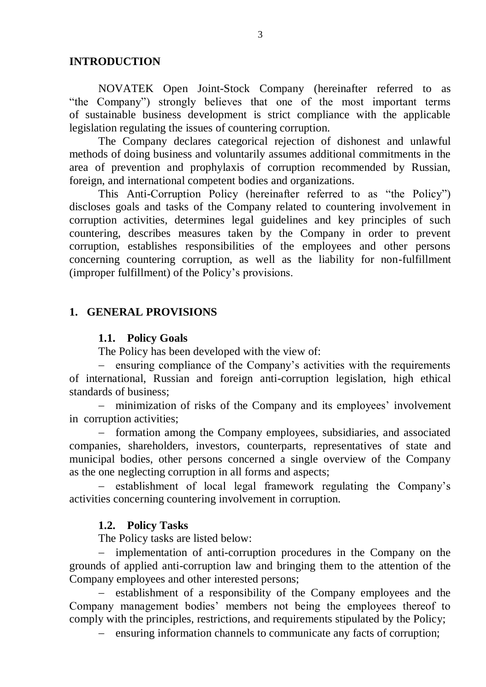#### **INTRODUCTION**

NOVATEK Open Joint-Stock Company (hereinafter referred to as "the Company") strongly believes that one of the most important terms of sustainable business development is strict compliance with the applicable legislation regulating the issues of countering corruption.

The Company declares categorical rejection of dishonest and unlawful methods of doing business and voluntarily assumes additional commitments in the area of prevention and prophylaxis of corruption recommended by Russian, foreign, and international competent bodies and organizations.

This Anti-Corruption Policy (hereinafter referred to as "the Policy") discloses goals and tasks of the Company related to countering involvement in corruption activities, determines legal guidelines and key principles of such countering, describes measures taken by the Company in order to prevent corruption, establishes responsibilities of the employees and other persons concerning countering corruption, as well as the liability for non-fulfillment (improper fulfillment) of the Policy's provisions.

#### **1. GENERAL PROVISIONS**

#### **1.1. Policy Goals**

The Policy has been developed with the view of:

- ensuring compliance of the Company's activities with the requirements of international, Russian and foreign anti-corruption legislation, high ethical standards of business;

 minimization of risks of the Company and its employees' involvement in corruption activities;

 formation among the Company employees, subsidiaries, and associated companies, shareholders, investors, counterparts, representatives of state and municipal bodies, other persons concerned a single overview of the Company as the one neglecting corruption in all forms and aspects;

– establishment of local legal framework regulating the Company's activities concerning countering involvement in corruption.

#### **1.2. Policy Tasks**

The Policy tasks are listed below:

- implementation of anti-corruption procedures in the Company on the grounds of applied anti-corruption law and bringing them to the attention of the Company employees and other interested persons;

- establishment of a responsibility of the Company employees and the Company management bodies' members not being the employees thereof to comply with the principles, restrictions, and requirements stipulated by the Policy;

- ensuring information channels to communicate any facts of corruption;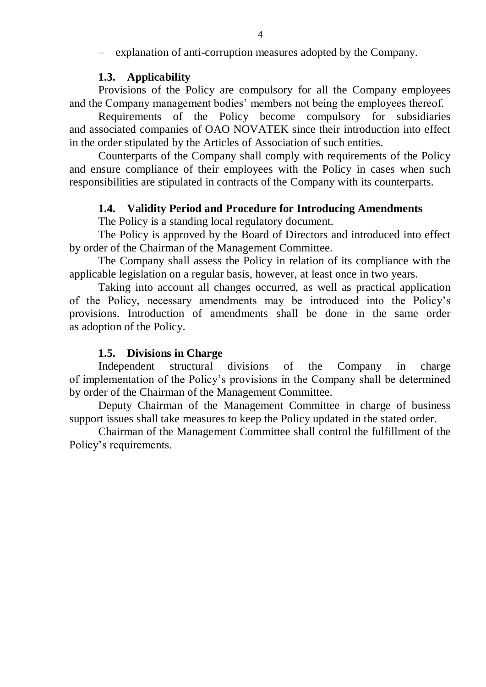- explanation of anti-corruption measures adopted by the Company.

## **1.3. Applicability**

Provisions of the Policy are compulsory for all the Company employees and the Company management bodies' members not being the employees thereof.

Requirements of the Policy become compulsory for subsidiaries and associated companies of OAO NOVATEK since their introduction into effect in the order stipulated by the Articles of Association of such entities.

Counterparts of the Company shall comply with requirements of the Policy and ensure compliance of their employees with the Policy in cases when such responsibilities are stipulated in contracts of the Company with its counterparts.

# **1.4. Validity Period and Procedure for Introducing Amendments**

The Policy is a standing local regulatory document.

The Policy is approved by the Board of Directors and introduced into effect by order of the Chairman of the Management Committee.

The Company shall assess the Policy in relation of its compliance with the applicable legislation on a regular basis, however, at least once in two years.

Taking into account all changes occurred, as well as practical application of the Policy, necessary amendments may be introduced into the Policy's provisions. Introduction of amendments shall be done in the same order as adoption of the Policy.

## **1.5. Divisions in Charge**

Independent structural divisions of the Company in charge of implementation of the Policy's provisions in the Company shall be determined by order of the Chairman of the Management Committee.

Deputy Chairman of the Management Committee in charge of business support issues shall take measures to keep the Policy updated in the stated order.

Chairman of the Management Committee shall control the fulfillment of the Policy's requirements.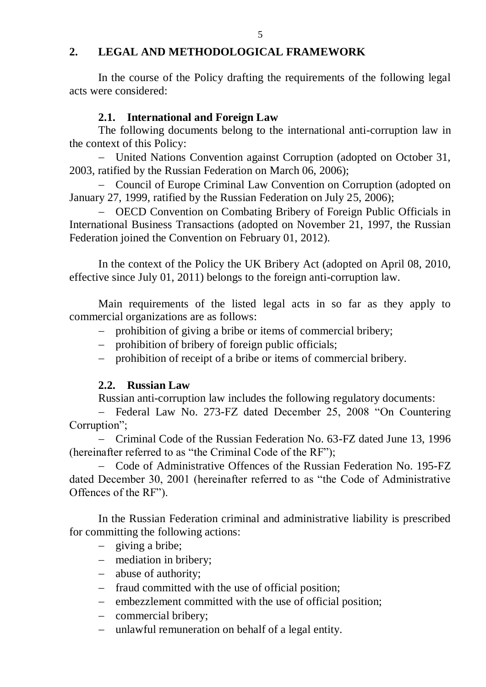## **2. LEGAL AND METHODOLOGICAL FRAMEWORK**

 In the course of the Policy drafting the requirements of the following legal acts were considered:

#### **2.1. International and Foreign Law**

The following documents belong to the international anti-corruption law in the context of this Policy:

 United Nations Convention against Corruption (adopted on October 31, 2003, ratified by the Russian Federation on March 06, 2006);

- Council of Europe Criminal Law Convention on Corruption (adopted on January 27, 1999, ratified by the Russian Federation on July 25, 2006);

 OECD Convention on Combating Bribery of Foreign Public Officials in International Business Transactions (adopted on November 21, 1997, the Russian Federation joined the Convention on February 01, 2012).

In the context of the Policy the UK Bribery Act (adopted on April 08, 2010, effective since July 01, 2011) belongs to the foreign anti-corruption law.

Main requirements of the listed legal acts in so far as they apply to commercial organizations are as follows:

- prohibition of giving a bribe or items of commercial bribery;
- prohibition of bribery of foreign public officials;
- prohibition of receipt of a bribe or items of commercial bribery.

# **2.2. Russian Law**

Russian anti-corruption law includes the following regulatory documents:

- Federal Law No. 273-FZ dated December 25, 2008 "On Countering Corruption";

 Criminal Code of the Russian Federation No. 63-FZ dated June 13, 1996 (hereinafter referred to as "the Criminal Code of the RF");

- Code of Administrative Offences of the Russian Federation No. 195-FZ dated December 30, 2001 (hereinafter referred to as "the Code of Administrative Offences of the RF").

In the Russian Federation criminal and administrative liability is prescribed for committing the following actions:

- giving a bribe;
- mediation in bribery;
- abuse of authority;
- fraud committed with the use of official position;
- embezzlement committed with the use of official position;
- commercial bribery;
- unlawful remuneration on behalf of a legal entity.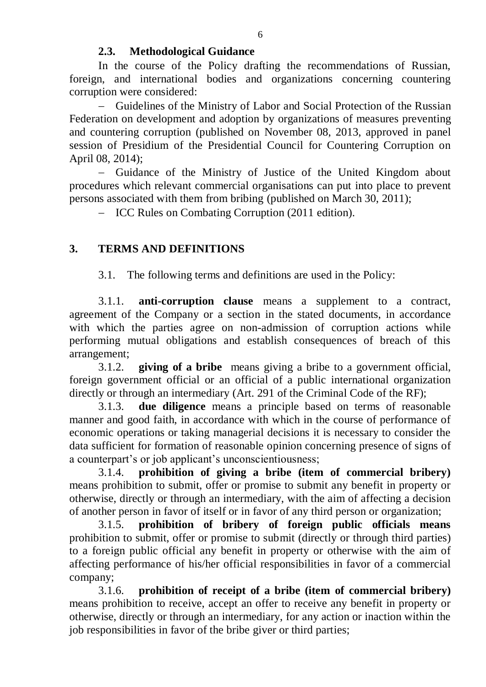# **2.3. Methodological Guidance**

In the course of the Policy drafting the recommendations of Russian, foreign, and international bodies and organizations concerning countering corruption were considered:

 Guidelines of the Ministry of Labor and Social Protection of the Russian Federation on development and adoption by organizations of measures preventing and countering corruption (published on November 08, 2013, approved in panel session of Presidium of the Presidential Council for Countering Corruption on April 08, 2014);

- Guidance of the Ministry of Justice of the United Kingdom about procedures which relevant commercial organisations can put into place to prevent persons associated with them from bribing (published on March 30, 2011);

- ICC Rules on Combating Corruption (2011 edition).

# **3. TERMS AND DEFINITIONS**

3.1. The following terms and definitions are used in the Policy:

3.1.1. **anti-corruption clause** means a supplement to a contract, agreement of the Company or a section in the stated documents, in accordance with which the parties agree on non-admission of corruption actions while performing mutual obligations and establish consequences of breach of this arrangement;

3.1.2. **giving of a bribe** means giving a bribe to a government official, [foreign government official o](consultantplus://offline/ref=6A8524AAC7155904EEC0EFFD9B63FAD10DB56CEF6BF0A7E7708C74C056D7D202EF04F79E80xBu5F)r [an official of a public international organization](consultantplus://offline/ref=6A8524AAC7155904EEC0EFFD9B63FAD10DB56CEF6BF0A7E7708C74C056D7D202EF04F79E80xBu5F) directly or through an intermediary (Art. 291 of the Criminal Code of the RF);

3.1.3. **due diligence** means a principle based on terms of reasonable manner and good faith, in accordance with which in the course of performance of economic operations or taking managerial decisions it is necessary to consider the data sufficient for formation of reasonable opinion concerning presence of signs of a counterpart's or job applicant's unconscientiousness;

3.1.4. **prohibition of giving a bribe (item of commercial bribery)** means prohibition to submit, offer or promise to submit any benefit in property or otherwise, directly or through an intermediary, with the aim of affecting a decision of another person in favor of itself or in favor of any third person or organization;

3.1.5. **prohibition of bribery of foreign public officials means**  prohibition to submit, offer or promise to submit (directly or through third parties) to a foreign public official any benefit in property or otherwise with the aim of affecting performance of his/her official responsibilities in favor of a commercial company;

3.1.6. **prohibition of receipt of a bribe (item of commercial bribery)**  means prohibition to receive, accept an offer to receive any benefit in property or otherwise, directly or through an intermediary, for any action or inaction within the job responsibilities in favor of the bribe giver or third parties;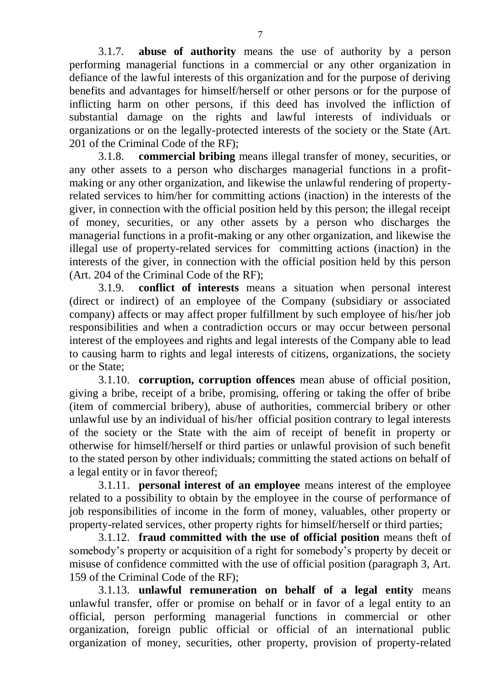3.1.7. **abuse of authority** means the use of authority by a person performing managerial functions in a commercial or any other organization in defiance of the lawful interests of this organization and for the purpose of deriving benefits and advantages for himself/herself or other persons or for the purpose of inflicting harm on other persons, if this deed has involved the infliction of substantial damage on the rights and lawful interests of individuals or organizations or on the legally-protected interests of the society or the State (Art. 201 of the Criminal Code of the RF);

3.1.8. **commercial bribing** means illegal transfer of money, securities, or any other assets to a person who [discharges](consultantplus://offline/ref=A62AE6316D3D74BBB885C69AE4870D167DA133B3E35564CDCEC78900284D0C07C41EE3B0066A651ED813F) managerial functions in a profitmaking or any other organization, and likewise the unlawful rendering of propertyrelated services to him/her for committing actions (inaction) in the interests of the giver, in connection with the official position held by this person; the illegal receipt of money, securities, or any other assets by a person who discharges the managerial functions in a profit-making or any other organization, and likewise the illegal use of property-related services for committing actions (inaction) in the interests of the giver, in connection with the official position held by this person (Art. 204 of the Criminal Code of the RF);

3.1.9. **conflict of interests** means a situation when personal interest (direct or indirect) of an employee of the Company (subsidiary or associated company) affects or may affect proper fulfillment by such employee of his/her job responsibilities and when a contradiction occurs or may occur between personal interest of the employees and rights and legal interests of the Company able to lead to causing harm to rights and legal interests of citizens, organizations, the society or the State;

3.1.10. **corruption, corruption offences** mean abuse of official position, giving a bribe, receipt of a bribe, promising, offering or taking the offer of bribe (item of commercial bribery), abuse of authorities, commercial bribery or other unlawful use by an individual of his/her official position contrary to legal interests of the society or the State with the aim of receipt of benefit in property or otherwise for himself/herself or third parties or unlawful provision of such benefit to the stated person by other individuals; committing the stated actions on behalf of a legal entity or in favor thereof;

3.1.11. **personal interest of an employee** means interest of the employee related to a possibility to obtain by the employee in the course of performance of job responsibilities of income in the form of money, valuables, other property or property-related services, other property rights for himself/herself or third parties;

3.1.12. **fraud committed with the use of official position** means [theft](consultantplus://offline/ref=C6E94D4BBF2FFAE95F537AFF5F99E7EFE8C90501E18FC71079285C2152D5311B5D6B878CA7110367G9C3J) of somebody's property or acquisition of a right for somebody's property by [deceit](consultantplus://offline/ref=C6E94D4BBF2FFAE95F537AFF5F99E7EFEEC90D02E9859A1A7171502355DA6E0C5A228B8DA71306G6C8J) or [misuse of confidence](consultantplus://offline/ref=C6E94D4BBF2FFAE95F537AFF5F99E7EFEEC90D02E9859A1A7171502355DA6E0C5A228B8DA71306G6C6J) committed with the use of official position (paragraph 3, Art. 159 of the Criminal Code of the RF);

3.1.13. **unlawful remuneration on behalf of a legal entity** means unlawful transfer, offer or promise on behalf or in favor of a legal entity to an official, person performing managerial functions in commercial or other organization, foreign public official or official of an international public organization of money, securities, other property, provision of property-related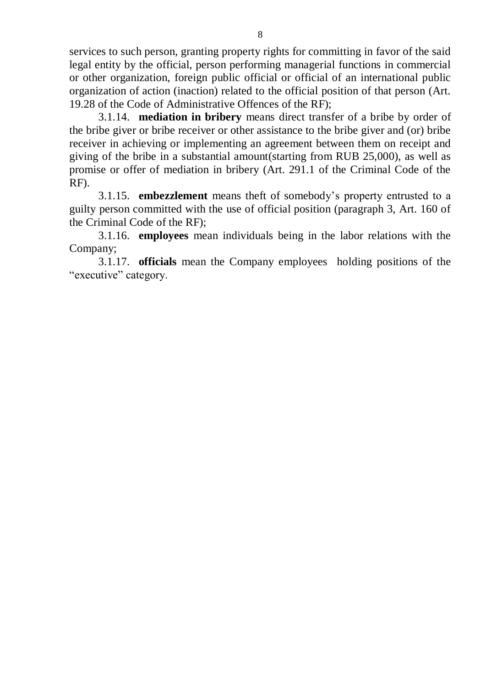services to such person, granting property rights for committing in favor of the said legal entity by the official, person performing managerial functions in commercial or other organization, foreign public official or official of an international public organization of action (inaction) related to the official position of that person (Art. 19.28 of the Code of Administrative Offences of the RF);

3.1.14. **mediation in bribery** means direct transfer of a bribe by order of the bribe giver or bribe receiver or other assistance to the bribe giver and (or) bribe receiver in achieving or implementing an agreement between them on receipt and giving of the bribe in [a substantial amount\(](consultantplus://offline/ref=17D1B5A501C707CCE9634BF9DDB53F5354421DA1741EA39DE026FE87F6249CF420C63E9915i77CH)starting from RUB 25,000), as well as promise or offer of mediation in bribery (Art. 291.1 of the Criminal Code of the RF).

3.1.15. **embezzlement** means theft of somebody's property entrusted to a guilty person committed with the use of official position (paragraph 3, Art. 160 of the Criminal Code of the RF);

3.1.16. **employees** mean individuals being in the labor relations with the Company;

3.1.17. **officials** mean the Company employees holding positions of the "executive" category.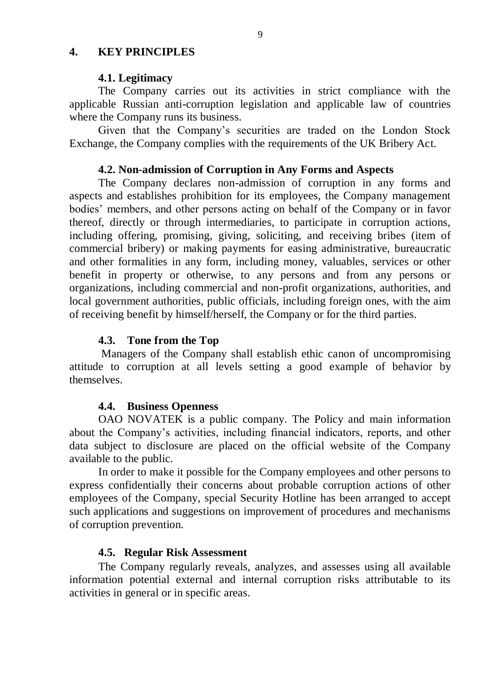#### **4. KEY PRINCIPLES**

#### **4.1. Legitimacy**

 The Company carries out its activities in strict compliance with the applicable Russian anti-corruption legislation and applicable law of countries where the Company runs its business.

 Given that the Company's securities are traded on the London Stock Exchange, the Company complies with the requirements of the UK Bribery Act.

#### **4.2. Non-admission of Corruption in Any Forms and Aspects**

The Company declares non-admission of corruption in any forms and aspects and establishes prohibition for its employees, the Company management bodies' members, and other persons acting on behalf of the Company or in favor thereof, directly or through intermediaries, to participate in corruption actions, including offering, promising, giving, soliciting, and receiving bribes (item of commercial bribery) or making payments for easing administrative, bureaucratic and other formalities in any form, including money, valuables, services or other benefit in property or otherwise, to any persons and from any persons or organizations, including commercial and non-profit organizations, authorities, and local government authorities, public officials, including foreign ones, with the aim of receiving benefit by himself/herself, the Company or for the third parties.

#### **4.3. Tone from the Top**

Managers of the Company shall establish ethic canon of uncompromising attitude to corruption at all levels setting a good example of behavior by themselves.

#### **4.4. Business Openness**

OAO NOVATEK is a public company. The Policy and main information about the Company's activities, including financial indicators, reports, and other data subject to disclosure are placed on the official website of the Company available to the public.

In order to make it possible for the Company employees and other persons to express confidentially their concerns about probable corruption actions of other employees of the Company, special Security Hotline has been arranged to accept such applications and suggestions on improvement of procedures and mechanisms of corruption prevention.

#### **4.5. Regular Risk Assessment**

The Company regularly reveals, analyzes, and assesses using all available information potential external and internal corruption risks attributable to its activities in general or in specific areas.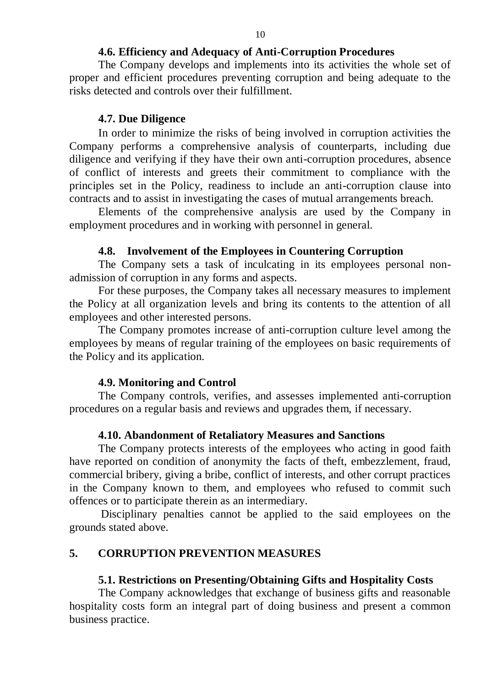## **4.6. Efficiency and Adequacy of Anti-Corruption Procedures**

The Company develops and implements into its activities the whole set of proper and efficient procedures preventing corruption and being adequate to the risks detected and controls over their fulfillment.

## **4.7. Due Diligence**

In order to minimize the risks of being involved in corruption activities the Company performs a comprehensive analysis of counterparts, including due diligence and verifying if they have their own anti-corruption procedures, absence of conflict of interests and greets their commitment to compliance with the principles set in the Policy, readiness to include an anti-corruption clause into contracts and to assist in investigating the cases of mutual arrangements breach.

Elements of the comprehensive analysis are used by the Company in employment procedures and in working with personnel in general.

## **4.8. Involvement of the Employees in Countering Corruption**

The Company sets a task of inculcating in its employees personal nonadmission of corruption in any forms and aspects.

For these purposes, the Company takes all necessary measures to implement the Policy at all organization levels and bring its contents to the attention of all employees and other interested persons.

The Company promotes increase of anti-corruption culture level among the employees by means of regular training of the employees on basic requirements of the Policy and its application.

## **4.9. Monitoring and Control**

The Company controls, verifies, and assesses implemented anti-corruption procedures on a regular basis and reviews and upgrades them, if necessary.

## **4.10. Abandonment of Retaliatory Measures and Sanctions**

The Company protects interests of the employees who acting in good faith have reported on condition of anonymity the facts of theft, embezzlement, fraud, commercial bribery, giving a bribe, conflict of interests, and other corrupt practices in the Company known to them, and employees who refused to commit such offences or to participate therein as an intermediary.

 Disciplinary penalties cannot be applied to the said employees on the grounds stated above.

## **5. CORRUPTION PREVENTION MEASURES**

#### **5.1. Restrictions on Presenting/Obtaining Gifts and Hospitality Costs**

The Company acknowledges that exchange of business gifts and reasonable hospitality costs form an integral part of doing business and present a common business practice.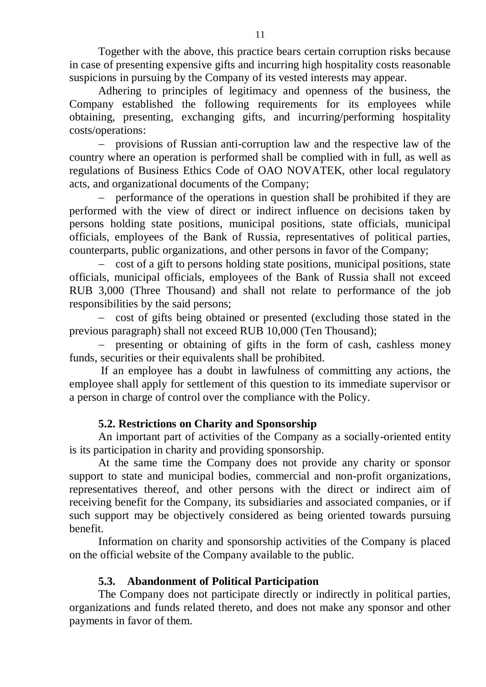Together with the above, this practice bears certain corruption risks because in case of presenting expensive gifts and incurring high hospitality costs reasonable suspicions in pursuing by the Company of its vested interests may appear.

Adhering to principles of legitimacy and openness of the business, the Company established the following requirements for its employees while obtaining, presenting, exchanging gifts, and incurring/performing hospitality costs/operations:

 provisions of Russian anti-corruption law and the respective law of the country where an operation is performed shall be complied with in full, as well as regulations of Business Ethics Code of OAO NOVATEK, other local regulatory acts, and organizational documents of the Company;

 performance of the operations in question shall be prohibited if they are performed with the view of direct or indirect influence on decisions taken by persons holding state positions, municipal positions, state officials, municipal officials, employees of the Bank of Russia, representatives of political parties, counterparts, public organizations, and other persons in favor of the Company;

 cost of a gift to persons holding state positions, municipal positions, state officials, municipal officials, employees of the Bank of Russia shall not exceed RUB 3,000 (Three Thousand) and shall not relate to performance of the job responsibilities by the said persons;

- cost of gifts being obtained or presented (excluding those stated in the previous paragraph) shall not exceed RUB 10,000 (Ten Thousand);

 presenting or obtaining of gifts in the form of cash, cashless money funds, securities or their equivalents shall be prohibited.

 If an employee has a doubt in lawfulness of committing any actions, the employee shall apply for settlement of this question to its immediate supervisor or a person in charge of control over the compliance with the Policy.

# **5.2. Restrictions on Charity and Sponsorship**

An important part of activities of the Company as a socially-oriented entity is its participation in charity and providing sponsorship.

At the same time the Company does not provide any charity or sponsor support to state and municipal bodies, commercial and non-profit organizations, representatives thereof, and other persons with the direct or indirect aim of receiving benefit for the Company, its subsidiaries and associated companies, or if such support may be objectively considered as being oriented towards pursuing benefit.

Information on charity and sponsorship activities of the Company is placed on the official website of the Company available to the public.

# **5.3. Abandonment of Political Participation**

The Company does not participate directly or indirectly in political parties, organizations and funds related thereto, and does not make any sponsor and other payments in favor of them.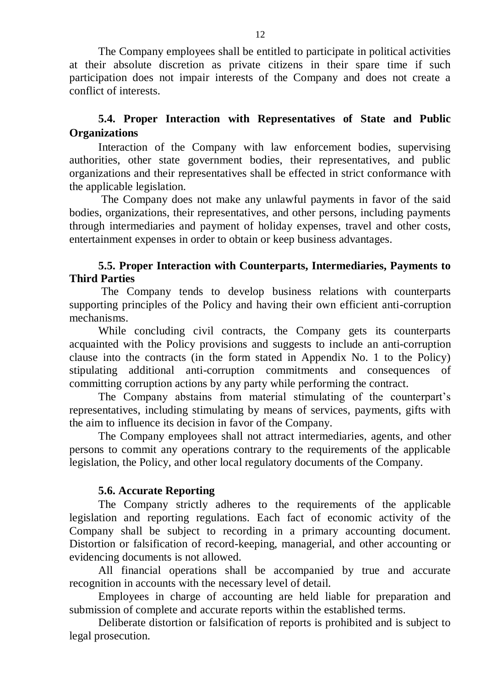The Company employees shall be entitled to participate in political activities at their absolute discretion as private citizens in their spare time if such participation does not impair interests of the Company and does not create a conflict of interests.

# **5.4. Proper Interaction with Representatives of State and Public Organizations**

Interaction of the Company with law enforcement bodies, supervising authorities, other state government bodies, their representatives, and public organizations and their representatives shall be effected in strict conformance with the applicable legislation.

The Company does not make any unlawful payments in favor of the said bodies, organizations, their representatives, and other persons, including payments through intermediaries and payment of holiday expenses, travel and other costs, entertainment expenses in order to obtain or keep business advantages.

# **5.5. Proper Interaction with Counterparts, Intermediaries, Payments to Third Parties**

The Company tends to develop business relations with counterparts supporting principles of the Policy and having their own efficient anti-corruption mechanisms.

While concluding civil contracts, the Company gets its counterparts acquainted with the Policy provisions and suggests to include an anti-corruption clause into the contracts (in the form stated in Appendix No. 1 to the Policy) stipulating additional anti-corruption commitments and consequences of committing corruption actions by any party while performing the contract.

The Company abstains from material stimulating of the counterpart's representatives, including stimulating by means of services, payments, gifts with the aim to influence its decision in favor of the Company.

The Company employees shall not attract intermediaries, agents, and other persons to commit any operations contrary to the requirements of the applicable legislation, the Policy, and other local regulatory documents of the Company.

# **5.6. Accurate Reporting**

The Company strictly adheres to the requirements of the applicable legislation and reporting regulations. Each fact of economic activity of the Company shall be subject to recording in a primary accounting document. Distortion or falsification of record-keeping, managerial, and other accounting or evidencing documents is not allowed.

All financial operations shall be accompanied by true and accurate recognition in accounts with the necessary level of detail.

Employees in charge of accounting are held liable for preparation and submission of complete and accurate reports within the established terms.

Deliberate distortion or falsification of reports is prohibited and is subject to legal prosecution.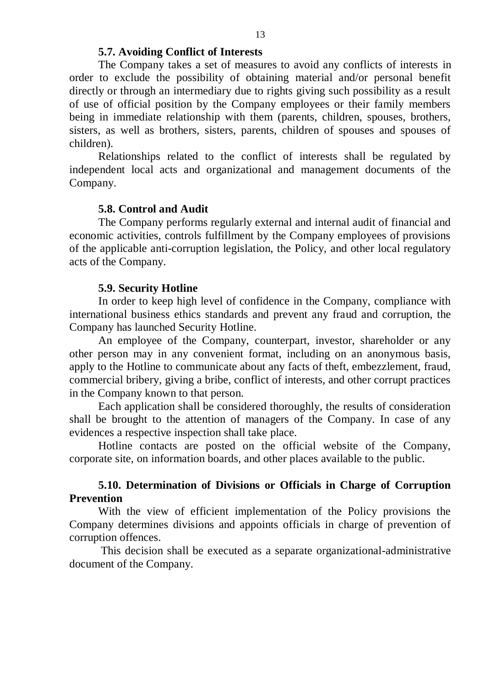#### **5.7. Avoiding Conflict of Interests**

The Company takes a set of measures to avoid any conflicts of interests in order to exclude the possibility of obtaining material and/or personal benefit directly or through an intermediary due to rights giving such possibility as a result of use of official position by the Company employees or their family members being in immediate relationship with them (parents, children, spouses, brothers, sisters, as well as brothers, sisters, parents, children of spouses and spouses of children).

Relationships related to the conflict of interests shall be regulated by independent local acts and organizational and management documents of the Company.

#### **5.8. Control and Audit**

The Company performs regularly external and internal audit of financial and economic activities, controls fulfillment by the Company employees of provisions of the applicable anti-corruption legislation, the Policy, and other local regulatory acts of the Company.

#### **5.9. Security Hotline**

In order to keep high level of confidence in the Company, compliance with international business ethics standards and prevent any fraud and corruption, the Company has launched Security Hotline.

An employee of the Company, counterpart, investor, shareholder or any other person may in any convenient format, including on an anonymous basis, apply to the Hotline to communicate about any facts of theft, embezzlement, fraud, commercial bribery, giving a bribe, conflict of interests, and other corrupt practices in the Company known to that person.

Each application shall be considered thoroughly, the results of consideration shall be brought to the attention of managers of the Company. In case of any evidences a respective inspection shall take place.

Hotline contacts are posted on the official website of the Company, corporate site, on information boards, and other places available to the public.

## **5.10. Determination of Divisions or Officials in Charge of Corruption Prevention**

 With the view of efficient implementation of the Policy provisions the Company determines divisions and appoints officials in charge of prevention of corruption offences.

 This decision shall be executed as a separate organizational-administrative document of the Company.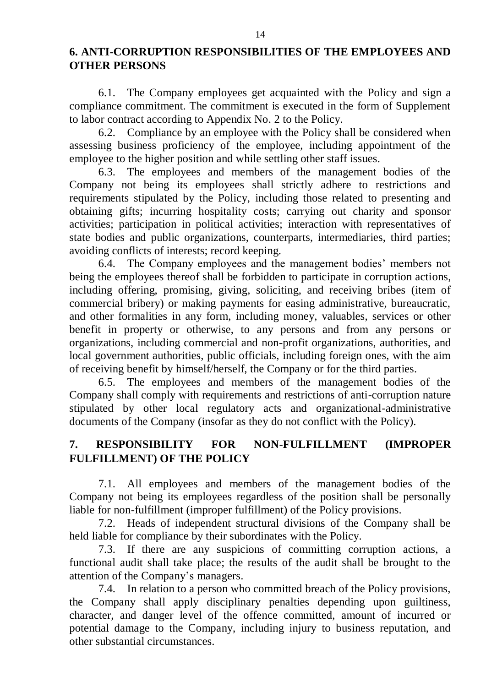# **6. ANTI-CORRUPTION RESPONSIBILITIES OF THE EMPLOYEES AND OTHER PERSONS**

6.1. The Company employees get acquainted with the Policy and sign a compliance commitment. The commitment is executed in the form of Supplement to labor contract according to Appendix No. 2 to the Policy.

6.2. Compliance by an employee with the Policy shall be considered when assessing business proficiency of the employee, including appointment of the employee to the higher position and while settling other staff issues.

6.3. The employees and members of the management bodies of the Company not being its employees shall strictly adhere to restrictions and requirements stipulated by the Policy, including those related to presenting and obtaining gifts; incurring hospitality costs; carrying out charity and sponsor activities; participation in political activities; interaction with representatives of state bodies and public organizations, counterparts, intermediaries, third parties; avoiding conflicts of interests; record keeping.

6.4. The Company employees and the management bodies' members not being the employees thereof shall be forbidden to participate in corruption actions, including offering, promising, giving, soliciting, and receiving bribes (item of commercial bribery) or making payments for easing administrative, bureaucratic, and other formalities in any form, including money, valuables, services or other benefit in property or otherwise, to any persons and from any persons or organizations, including commercial and non-profit organizations, authorities, and local government authorities, public officials, including foreign ones, with the aim of receiving benefit by himself/herself, the Company or for the third parties.

6.5. The employees and members of the management bodies of the Company shall comply with requirements and restrictions of anti-corruption nature stipulated by other local regulatory acts and organizational-administrative documents of the Company (insofar as they do not conflict with the Policy).

# **7. RESPONSIBILITY FOR NON-FULFILLMENT (IMPROPER FULFILLMENT) OF THE POLICY**

7.1. All employees and members of the management bodies of the Company not being its employees regardless of the position shall be personally liable for non-fulfillment (improper fulfillment) of the Policy provisions.

7.2. Heads of independent structural divisions of the Company shall be held liable for compliance by their subordinates with the Policy.

7.3. If there are any suspicions of committing corruption actions, a functional audit shall take place; the results of the audit shall be brought to the attention of the Company's managers.

7.4. In relation to a person who committed breach of the Policy provisions, the Company shall apply disciplinary penalties depending upon guiltiness, character, and danger level of the offence committed, amount of incurred or potential damage to the Company, including injury to business reputation, and other substantial circumstances.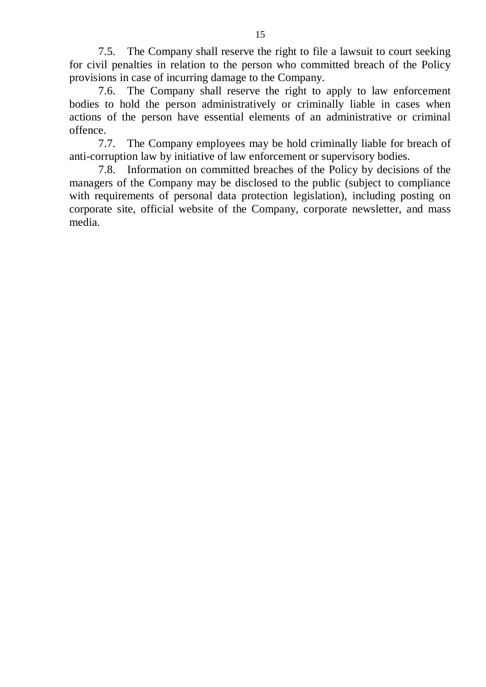7.5. The Company shall reserve the right to file a lawsuit to court seeking for civil penalties in relation to the person who committed breach of the Policy provisions in case of incurring damage to the Company.

7.6. The Company shall reserve the right to apply to law enforcement bodies to hold the person administratively or criminally liable in cases when actions of the person have essential elements of an administrative or criminal offence.

7.7. The Company employees may be hold criminally liable for breach of anti-corruption law by initiative of law enforcement or supervisory bodies.

7.8. Information on committed breaches of the Policy by decisions of the managers of the Company may be disclosed to the public (subject to compliance with requirements of personal data protection legislation), including posting on corporate site, official website of the Company, corporate newsletter, and mass media.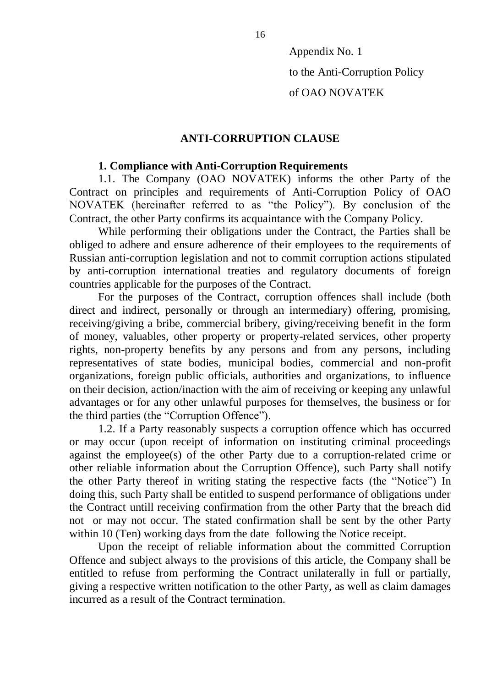Appendix No. 1

to the Anti-Corruption Policy

of OAO NOVATEK

## **ANTI-CORRUPTION CLAUSE**

## **1. Compliance with Anti-Corruption Requirements**

1.1. The Company (OAO NOVATEK) informs the other Party of the Contract on principles and requirements of Anti-Corruption Policy of OAO NOVATEK (hereinafter referred to as "the Policy"). By conclusion of the Contract, the other Party confirms its acquaintance with the Company Policy.

While performing their obligations under the Contract, the Parties shall be obliged to adhere and ensure adherence of their employees to the requirements of Russian anti-corruption legislation and not to commit corruption actions stipulated by anti-corruption international treaties and regulatory documents of foreign countries applicable for the purposes of the Contract.

For the purposes of the Contract, corruption offences shall include (both direct and indirect, personally or through an intermediary) offering, promising, receiving/giving a bribe, commercial bribery, giving/receiving benefit in the form of money, valuables, other property or property-related services, other property rights, non-property benefits by any persons and from any persons, including representatives of state bodies, municipal bodies, commercial and non-profit organizations, foreign public officials, authorities and organizations, to influence on their decision, action/inaction with the aim of receiving or keeping any unlawful advantages or for any other unlawful purposes for themselves, the business or for the third parties (the "Corruption Offence").

1.2. If a Party reasonably suspects a corruption offence which has occurred or may occur (upon receipt of information on instituting criminal proceedings against the employee(s) of the other Party due to a corruption-related crime or other reliable information about the Corruption Offence), such Party shall notify the other Party thereof in writing stating the respective facts (the "Notice") In doing this, such Party shall be entitled to suspend performance of obligations under the Contract untill receiving confirmation from the other Party that the breach did not or may not occur. The stated confirmation shall be sent by the other Party within 10 (Ten) working days from the date following the Notice receipt.

Upon the receipt of reliable information about the committed Corruption Offence and subject always to the provisions of this article, the Company shall be entitled to refuse from performing the Contract unilaterally in full or partially, giving a respective written notification to the other Party, as well as claim damages incurred as a result of the Contract termination.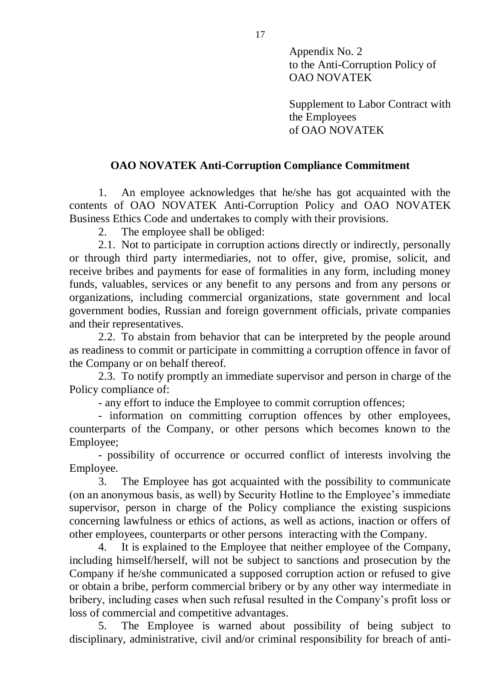Appendix No. 2 to the Anti-Corruption Policy of OAO NOVATEK

Supplement to Labor Contract with the Employees of OAO NOVATEK

# **OAO NOVATEK Anti-Corruption Compliance Commitment**

1. An employee acknowledges that he/she has got acquainted with the contents of OAO NOVATEK Anti-Corruption Policy and OAO NOVATEK Business Ethics Code and undertakes to comply with their provisions.

2. The employee shall be obliged:

2.1. Not to participate in corruption actions directly or indirectly, personally or through third party intermediaries, not to offer, give, promise, solicit, and receive bribes and payments for ease of formalities in any form, including money funds, valuables, services or any benefit to any persons and from any persons or organizations, including commercial organizations, state government and local government bodies, Russian and foreign government officials, private companies and their representatives.

2.2. To abstain from behavior that can be interpreted by the people around as readiness to commit or participate in committing a corruption offence in favor of the Company or on behalf thereof.

2.3. To notify promptly an immediate supervisor and person in charge of the Policy compliance of:

- any effort to induce the Employee to commit corruption offences;

- information on committing corruption offences by other employees, counterparts of the Company, or other persons which becomes known to the Employee;

- possibility of occurrence or occurred conflict of interests involving the Employee.

3. The Employee has got acquainted with the possibility to communicate (on an anonymous basis, as well) by Security Hotline to the Employee's immediate supervisor, person in charge of the Policy compliance the existing suspicions concerning lawfulness or ethics of actions, as well as actions, inaction or offers of other employees, counterparts or other persons interacting with the Company.

4. It is explained to the Employee that neither employee of the Company, including himself/herself, will not be subject to sanctions and prosecution by the Company if he/she communicated a supposed corruption action or refused to give or obtain a bribe, perform commercial bribery or by any other way intermediate in bribery, including cases when such refusal resulted in the Company's profit loss or loss of commercial and competitive advantages.

5. The Employee is warned about possibility of being subject to disciplinary, administrative, civil and/or criminal responsibility for breach of anti